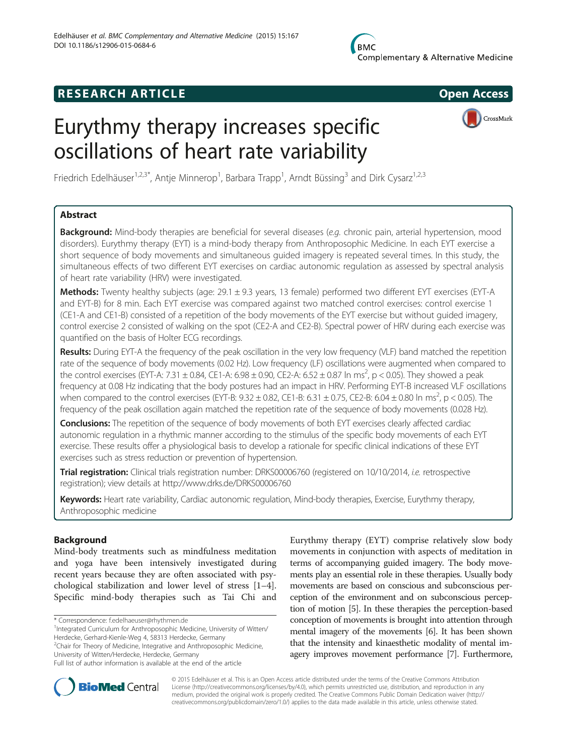# **RESEARCH ARTICLE Example 2014 CONSIDERING CONSIDERING CONSIDERING CONSIDERING CONSIDERING CONSIDERING CONSIDERING CONSIDERING CONSIDERING CONSIDERING CONSIDERING CONSIDERING CONSIDERING CONSIDERING CONSIDERING CONSIDE**

# Eurythmy therapy increases specific oscillations of heart rate variability



Friedrich Edelhäuser<sup>1,2,3\*</sup>, Antje Minnerop<sup>1</sup>, Barbara Trapp<sup>1</sup>, Arndt Büssing<sup>3</sup> and Dirk Cysarz<sup>1,2,3</sup>

# Abstract

Background: Mind-body therapies are beneficial for several diseases (e.g. chronic pain, arterial hypertension, mood disorders). Eurythmy therapy (EYT) is a mind-body therapy from Anthroposophic Medicine. In each EYT exercise a short sequence of body movements and simultaneous guided imagery is repeated several times. In this study, the simultaneous effects of two different EYT exercises on cardiac autonomic regulation as assessed by spectral analysis of heart rate variability (HRV) were investigated.

Methods: Twenty healthy subjects (age: 29.1 ± 9.3 years, 13 female) performed two different EYT exercises (EYT-A and EYT-B) for 8 min. Each EYT exercise was compared against two matched control exercises: control exercise 1 (CE1-A and CE1-B) consisted of a repetition of the body movements of the EYT exercise but without guided imagery, control exercise 2 consisted of walking on the spot (CE2-A and CE2-B). Spectral power of HRV during each exercise was quantified on the basis of Holter ECG recordings.

Results: During EYT-A the frequency of the peak oscillation in the very low frequency (VLF) band matched the repetition rate of the sequence of body movements (0.02 Hz). Low frequency (LF) oscillations were augmented when compared to the control exercises (EYT-A: 7.31  $\pm$  0.84, CE1-A: 6.98  $\pm$  0.90, CE2-A: 6.52  $\pm$  0.87 ln ms<sup>2</sup>, p < 0.05). They showed a peak frequency at 0.08 Hz indicating that the body postures had an impact in HRV. Performing EYT-B increased VLF oscillations when compared to the control exercises (EYT-B: 9.32  $\pm$  0.82, CE1-B: 6.31  $\pm$  0.75, CE2-B: 6.04  $\pm$  0.80 ln ms<sup>2</sup>, p < 0.05). The frequency of the peak oscillation again matched the repetition rate of the sequence of body movements (0.028 Hz).

Conclusions: The repetition of the sequence of body movements of both EYT exercises clearly affected cardiac autonomic regulation in a rhythmic manner according to the stimulus of the specific body movements of each EYT exercise. These results offer a physiological basis to develop a rationale for specific clinical indications of these EYT exercises such as stress reduction or prevention of hypertension.

Trial registration: Clinical trials registration number: DRKS00006760 (registered on 10/10/2014, i.e. retrospective registration); view details at<http://www.drks.de/DRKS00006760>

Keywords: Heart rate variability, Cardiac autonomic regulation, Mind-body therapies, Exercise, Eurythmy therapy, Anthroposophic medicine

# Background

Mind-body treatments such as mindfulness meditation and yoga have been intensively investigated during recent years because they are often associated with psychological stabilization and lower level of stress [\[1](#page-6-0)–[4](#page-6-0)]. Specific mind-body therapies such as Tai Chi and

<sup>1</sup>Integrated Curriculum for Anthroposophic Medicine, University of Witten/ Herdecke, Gerhard-Kienle-Weg 4, 58313 Herdecke, Germany

<sup>2</sup>Chair for Theory of Medicine, Integrative and Anthroposophic Medicine, University of Witten/Herdecke, Herdecke, Germany

Eurythmy therapy (EYT) comprise relatively slow body movements in conjunction with aspects of meditation in terms of accompanying guided imagery. The body movements play an essential role in these therapies. Usually body movements are based on conscious and subconscious perception of the environment and on subconscious perception of motion [\[5\]](#page-6-0). In these therapies the perception-based conception of movements is brought into attention through mental imagery of the movements [\[6\]](#page-6-0). It has been shown that the intensity and kinaesthetic modality of mental imagery improves movement performance [[7](#page-6-0)]. Furthermore,



© 2015 Edelhäuser et al. This is an Open Access article distributed under the terms of the Creative Commons Attribution License (<http://creativecommons.org/licenses/by/4.0>), which permits unrestricted use, distribution, and reproduction in any medium, provided the original work is properly credited. The Creative Commons Public Domain Dedication waiver [\(http://](http://creativecommons.org/publicdomain/zero/1.0/) [creativecommons.org/publicdomain/zero/1.0/\)](http://creativecommons.org/publicdomain/zero/1.0/) applies to the data made available in this article, unless otherwise stated.

<sup>\*</sup> Correspondence: [f.edelhaeuser@rhythmen.de](mailto:f.edelhaeuser@rhythmen.de) <sup>1</sup>

Full list of author information is available at the end of the article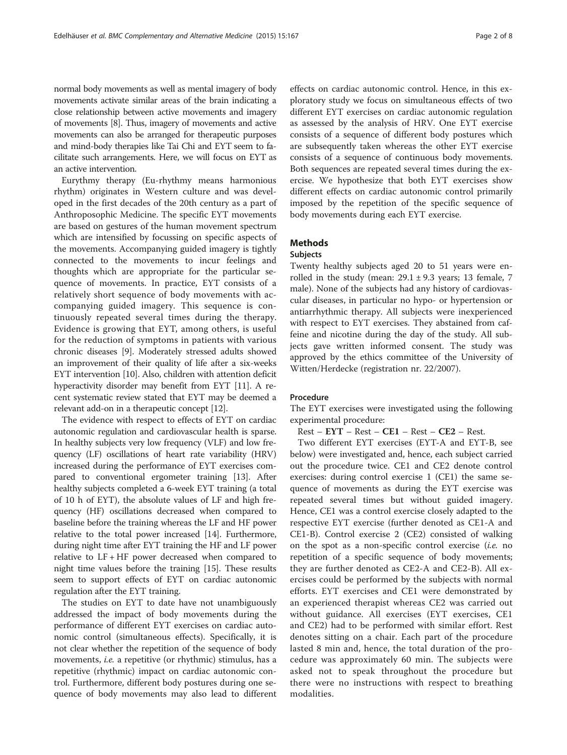normal body movements as well as mental imagery of body movements activate similar areas of the brain indicating a close relationship between active movements and imagery of movements [\[8\]](#page-6-0). Thus, imagery of movements and active movements can also be arranged for therapeutic purposes and mind-body therapies like Tai Chi and EYT seem to facilitate such arrangements. Here, we will focus on EYT as an active intervention.

Eurythmy therapy (Eu-rhythmy means harmonious rhythm) originates in Western culture and was developed in the first decades of the 20th century as a part of Anthroposophic Medicine. The specific EYT movements are based on gestures of the human movement spectrum which are intensified by focussing on specific aspects of the movements. Accompanying guided imagery is tightly connected to the movements to incur feelings and thoughts which are appropriate for the particular sequence of movements. In practice, EYT consists of a relatively short sequence of body movements with accompanying guided imagery. This sequence is continuously repeated several times during the therapy. Evidence is growing that EYT, among others, is useful for the reduction of symptoms in patients with various chronic diseases [[9\]](#page-7-0). Moderately stressed adults showed an improvement of their quality of life after a six-weeks EYT intervention [\[10\]](#page-7-0). Also, children with attention deficit hyperactivity disorder may benefit from EYT [\[11](#page-7-0)]. A recent systematic review stated that EYT may be deemed a relevant add-on in a therapeutic concept [[12](#page-7-0)].

The evidence with respect to effects of EYT on cardiac autonomic regulation and cardiovascular health is sparse. In healthy subjects very low frequency (VLF) and low frequency (LF) oscillations of heart rate variability (HRV) increased during the performance of EYT exercises compared to conventional ergometer training [\[13\]](#page-7-0). After healthy subjects completed a 6-week EYT training (a total of 10 h of EYT), the absolute values of LF and high frequency (HF) oscillations decreased when compared to baseline before the training whereas the LF and HF power relative to the total power increased [[14\]](#page-7-0). Furthermore, during night time after EYT training the HF and LF power relative to  $LF + HF$  power decreased when compared to night time values before the training [\[15\]](#page-7-0). These results seem to support effects of EYT on cardiac autonomic regulation after the EYT training.

The studies on EYT to date have not unambiguously addressed the impact of body movements during the performance of different EYT exercises on cardiac autonomic control (simultaneous effects). Specifically, it is not clear whether the repetition of the sequence of body movements, *i.e.* a repetitive (or rhythmic) stimulus, has a repetitive (rhythmic) impact on cardiac autonomic control. Furthermore, different body postures during one sequence of body movements may also lead to different

effects on cardiac autonomic control. Hence, in this exploratory study we focus on simultaneous effects of two different EYT exercises on cardiac autonomic regulation as assessed by the analysis of HRV. One EYT exercise consists of a sequence of different body postures which are subsequently taken whereas the other EYT exercise consists of a sequence of continuous body movements. Both sequences are repeated several times during the exercise. We hypothesize that both EYT exercises show different effects on cardiac autonomic control primarily imposed by the repetition of the specific sequence of body movements during each EYT exercise.

# **Methods**

## **Subjects**

Twenty healthy subjects aged 20 to 51 years were enrolled in the study (mean:  $29.1 \pm 9.3$  years; 13 female, 7 male). None of the subjects had any history of cardiovascular diseases, in particular no hypo- or hypertension or antiarrhythmic therapy. All subjects were inexperienced with respect to EYT exercises. They abstained from caffeine and nicotine during the day of the study. All subjects gave written informed consent. The study was approved by the ethics committee of the University of Witten/Herdecke (registration nr. 22/2007).

#### Procedure

The EYT exercises were investigated using the following experimental procedure:

Rest – EYT – Rest – CE1 – Rest – CE2 – Rest.

Two different EYT exercises (EYT-A and EYT-B, see below) were investigated and, hence, each subject carried out the procedure twice. CE1 and CE2 denote control exercises: during control exercise 1 (CE1) the same sequence of movements as during the EYT exercise was repeated several times but without guided imagery. Hence, CE1 was a control exercise closely adapted to the respective EYT exercise (further denoted as CE1-A and CE1-B). Control exercise 2 (CE2) consisted of walking on the spot as a non-specific control exercise  $(i.e.$  no repetition of a specific sequence of body movements; they are further denoted as CE2-A and CE2-B). All exercises could be performed by the subjects with normal efforts. EYT exercises and CE1 were demonstrated by an experienced therapist whereas CE2 was carried out without guidance. All exercises (EYT exercises, CE1 and CE2) had to be performed with similar effort. Rest denotes sitting on a chair. Each part of the procedure lasted 8 min and, hence, the total duration of the procedure was approximately 60 min. The subjects were asked not to speak throughout the procedure but there were no instructions with respect to breathing modalities.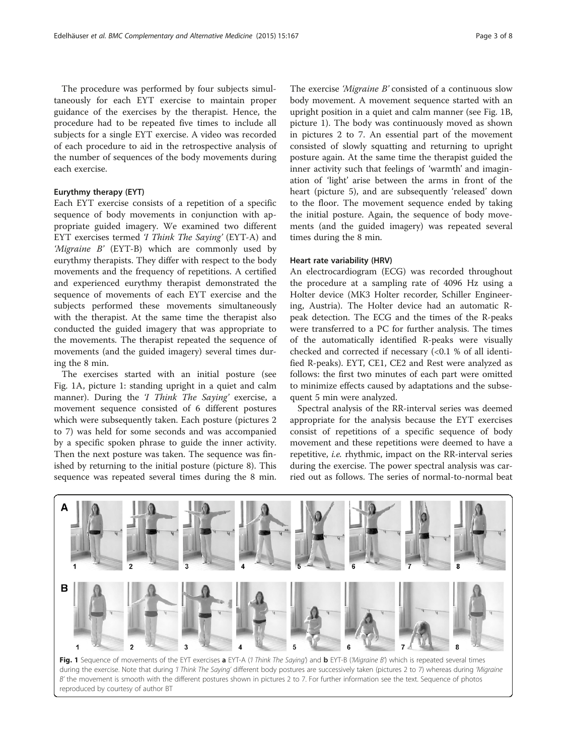<span id="page-2-0"></span>The procedure was performed by four subjects simultaneously for each EYT exercise to maintain proper guidance of the exercises by the therapist. Hence, the procedure had to be repeated five times to include all subjects for a single EYT exercise. A video was recorded of each procedure to aid in the retrospective analysis of the number of sequences of the body movements during each exercise.

## Eurythmy therapy (EYT)

Each EYT exercise consists of a repetition of a specific sequence of body movements in conjunction with appropriate guided imagery. We examined two different EYT exercises termed 'I Think The Saying' (EYT-A) and 'Migraine B' (EYT-B) which are commonly used by eurythmy therapists. They differ with respect to the body movements and the frequency of repetitions. A certified and experienced eurythmy therapist demonstrated the sequence of movements of each EYT exercise and the subjects performed these movements simultaneously with the therapist. At the same time the therapist also conducted the guided imagery that was appropriate to the movements. The therapist repeated the sequence of movements (and the guided imagery) several times during the 8 min.

The exercises started with an initial posture (see Fig. 1A, picture 1: standing upright in a quiet and calm manner). During the 'I Think The Saying' exercise, a movement sequence consisted of 6 different postures which were subsequently taken. Each posture (pictures 2 to 7) was held for some seconds and was accompanied by a specific spoken phrase to guide the inner activity. Then the next posture was taken. The sequence was finished by returning to the initial posture (picture 8). This sequence was repeated several times during the 8 min.

The exercise 'Migraine B' consisted of a continuous slow body movement. A movement sequence started with an upright position in a quiet and calm manner (see Fig. 1B, picture 1). The body was continuously moved as shown in pictures 2 to 7. An essential part of the movement consisted of slowly squatting and returning to upright posture again. At the same time the therapist guided the inner activity such that feelings of 'warmth' and imagination of 'light' arise between the arms in front of the heart (picture 5), and are subsequently 'released' down to the floor. The movement sequence ended by taking the initial posture. Again, the sequence of body movements (and the guided imagery) was repeated several times during the 8 min.

## Heart rate variability (HRV)

An electrocardiogram (ECG) was recorded throughout the procedure at a sampling rate of 4096 Hz using a Holter device (MK3 Holter recorder, Schiller Engineering, Austria). The Holter device had an automatic Rpeak detection. The ECG and the times of the R-peaks were transferred to a PC for further analysis. The times of the automatically identified R-peaks were visually checked and corrected if necessary (<0.1 % of all identified R-peaks). EYT, CE1, CE2 and Rest were analyzed as follows: the first two minutes of each part were omitted to minimize effects caused by adaptations and the subsequent 5 min were analyzed.

Spectral analysis of the RR-interval series was deemed appropriate for the analysis because the EYT exercises consist of repetitions of a specific sequence of body movement and these repetitions were deemed to have a repetitive, i.e. rhythmic, impact on the RR-interval series during the exercise. The power spectral analysis was carried out as follows. The series of normal-to-normal beat



during the exercise. Note that during 1 Think The Saying' different body postures are successively taken (pictures 2 to 7) whereas during 'Migraine B' the movement is smooth with the different postures shown in pictures 2 to 7. For further information see the text. Sequence of photos reproduced by courtesy of author BT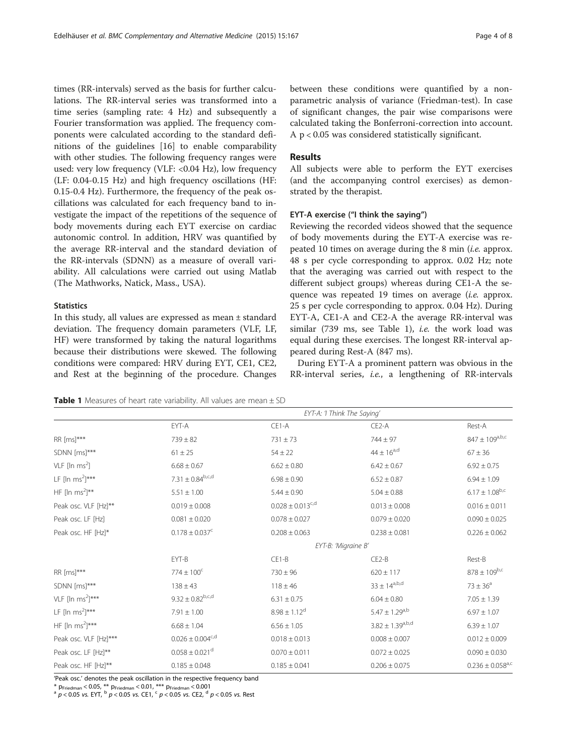<span id="page-3-0"></span>times (RR-intervals) served as the basis for further calculations. The RR-interval series was transformed into a time series (sampling rate: 4 Hz) and subsequently a Fourier transformation was applied. The frequency components were calculated according to the standard definitions of the guidelines [\[16\]](#page-7-0) to enable comparability with other studies. The following frequency ranges were used: very low frequency (VLF: <0.04 Hz), low frequency (LF: 0.04-0.15 Hz) and high frequency oscillations (HF: 0.15-0.4 Hz). Furthermore, the frequency of the peak oscillations was calculated for each frequency band to investigate the impact of the repetitions of the sequence of body movements during each EYT exercise on cardiac autonomic control. In addition, HRV was quantified by the average RR-interval and the standard deviation of the RR-intervals (SDNN) as a measure of overall variability. All calculations were carried out using Matlab (The Mathworks, Natick, Mass., USA).

#### **Statistics**

In this study, all values are expressed as mean ± standard deviation. The frequency domain parameters (VLF, LF, HF) were transformed by taking the natural logarithms because their distributions were skewed. The following conditions were compared: HRV during EYT, CE1, CE2, and Rest at the beginning of the procedure. Changes between these conditions were quantified by a nonparametric analysis of variance (Friedman-test). In case of significant changes, the pair wise comparisons were calculated taking the Bonferroni-correction into account. A p < 0.05 was considered statistically significant.

### Results

All subjects were able to perform the EYT exercises (and the accompanying control exercises) as demonstrated by the therapist.

## EYT-A exercise ("I think the saying")

Reviewing the recorded videos showed that the sequence of body movements during the EYT-A exercise was repeated 10 times on average during the 8 min (i.e. approx. 48 s per cycle corresponding to approx. 0.02 Hz; note that the averaging was carried out with respect to the different subject groups) whereas during CE1-A the sequence was repeated 19 times on average *(i.e.* approx. 25 s per cycle corresponding to approx. 0.04 Hz). During EYT-A, CE1-A and CE2-A the average RR-interval was similar (739 ms, see Table 1), *i.e.* the work load was equal during these exercises. The longest RR-interval appeared during Rest-A (847 ms).

During EYT-A a prominent pattern was obvious in the RR-interval series, *i.e.*, a lengthening of RR-intervals

**Table 1** Measures of heart rate variability. All values are mean  $\pm$  SD

|                             | EYT-A: 'I Think The Saying'      |                         |                         |                                  |
|-----------------------------|----------------------------------|-------------------------|-------------------------|----------------------------------|
|                             | EYT-A                            | CE1-A                   | CE <sub>2</sub> -A      | Rest-A                           |
| $RR [ms]$ ***               | $739 \pm 82$                     | $731 \pm 73$            | $744 \pm 97$            | $847 \pm 109^{a,b,c}$            |
| SDNN [ms]***                | $61 \pm 25$                      | $54 \pm 22$             | $44 \pm 16^{a,d}$       | $67 \pm 36$                      |
| $VLF$ [ln ms <sup>2</sup> ] | $6.68 \pm 0.67$                  | $6.62 \pm 0.80$         | $6.42 \pm 0.67$         | $6.92 \pm 0.75$                  |
| LF [ $\ln ms^2$ ]***        | 7.31 $\pm$ 0.84 <sup>b,c,d</sup> | $6.98 \pm 0.90$         | $6.52 \pm 0.87$         | $6.94 \pm 1.09$                  |
| HF [ $\ln ms^2$ ]**         | $5.51 \pm 1.00$                  | $5.44 \pm 0.90$         | $5.04 \pm 0.88$         | $6.17 \pm 1.08^{b,c}$            |
| Peak osc. VLF [Hz]**        | $0.019 \pm 0.008$                | $0.028 \pm 0.013^{c,d}$ | $0.013 \pm 0.008$       | $0.016 \pm 0.011$                |
| Peak osc. LF [Hz]           | $0.081 \pm 0.020$                | $0.078 \pm 0.027$       | $0.079 \pm 0.020$       | $0.090 \pm 0.025$                |
| Peak osc. HF [Hz]*          | $0.178 \pm 0.037^c$              | $0.208 \pm 0.063$       | $0.238 \pm 0.081$       | $0.226 \pm 0.062$                |
|                             | EYT-B: 'Migraine B'              |                         |                         |                                  |
|                             | EYT-B                            | $CE1-B$                 | $CE2-B$                 | Rest-B                           |
| RR [ms]***                  | $774 \pm 100^{\circ}$            | $730 \pm 96$            | $620 \pm 117$           | $878 \pm 109^{b,c}$              |
| SDNN [ms]***                | $138 \pm 43$                     | $118 \pm 46$            | $33 \pm 14^{a,b,d}$     | $73 \pm 36^a$                    |
| VLF [ $\ln ms^2$ ]***       | $9.32 \pm 0.82^{b,c,d}$          | $6.31 \pm 0.75$         | $6.04 \pm 0.80$         | $7.05 \pm 1.39$                  |
| LF [ $\ln ms^2$ ]***        | $7.91 \pm 1.00$                  | $8.98 \pm 1.12^{d}$     | $5.47 \pm 1.29^{a,b}$   | $6.97 \pm 1.07$                  |
| HF [ $\ln ms^2$ ]***        | $6.68 \pm 1.04$                  | $6.56 \pm 1.05$         | $3.82 \pm 1.39^{a,b,d}$ | $6.39 \pm 1.07$                  |
| Peak osc. VLF [Hz]***       | $0.026 \pm 0.004^{c,d}$          | $0.018 \pm 0.013$       | $0.008 \pm 0.007$       | $0.012 \pm 0.009$                |
| Peak osc. LF [Hz]**         | $0.058 \pm 0.021$ <sup>d</sup>   | $0.070 \pm 0.011$       | $0.072 \pm 0.025$       | $0.090 \pm 0.030$                |
| Peak osc. HF [Hz]**         | $0.185 \pm 0.048$                | $0.185 \pm 0.041$       | $0.206 \pm 0.075$       | $0.236 \pm 0.058$ <sup>a,c</sup> |

'Peak osc.' denotes the peak oscillation in the respective frequency band<br>\*  $p_{\text{Friedman}} < 0.05$ , \*\*  $p_{\text{Friedman}} < 0.01$ , \*\*\*  $p_{\text{Friedman}} < 0.001$ 

 $A^a$  p < 0.05 vs. EYT,  $^b$  p < 0.05 vs. CE1,  $^c$  p < 0.05 vs. CE2,  $^d$  p < 0.05 vs. Rest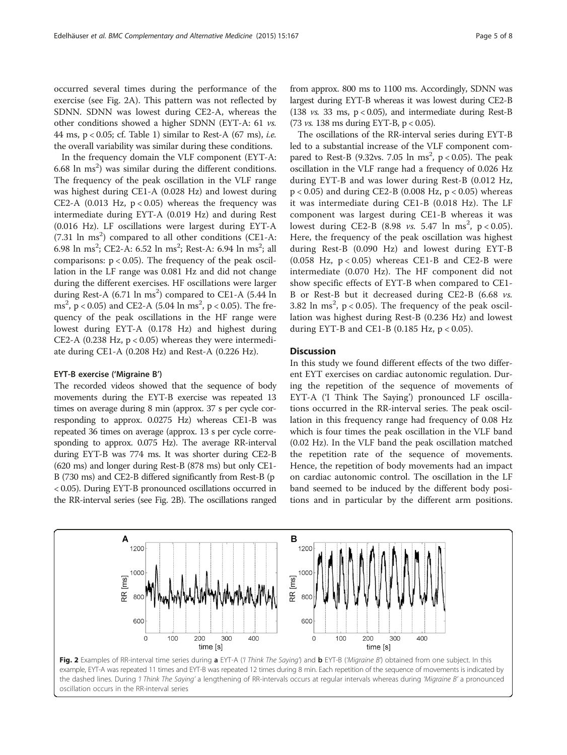occurred several times during the performance of the exercise (see Fig. 2A). This pattern was not reflected by SDNN. SDNN was lowest during CE2-A, whereas the other conditions showed a higher SDNN (EYT-A: 61 vs. 44 ms,  $p < 0.05$ ; cf. Table [1](#page-3-0)) similar to Rest-A (67 ms), *i.e.* the overall variability was similar during these conditions.

In the frequency domain the VLF component (EYT-A: 6.68 ln ms<sup>2</sup>) was similar during the different conditions. The frequency of the peak oscillation in the VLF range was highest during CE1-A (0.028 Hz) and lowest during CE2-A (0.013 Hz,  $p < 0.05$ ) whereas the frequency was intermediate during EYT-A (0.019 Hz) and during Rest (0.016 Hz). LF oscillations were largest during EYT-A  $(7.31 \ln ms^2)$  compared to all other conditions (CE1-A: 6.98 ln ms<sup>2</sup>; CE2-A: 6.52 ln ms<sup>2</sup>; Rest-A: 6.94 ln ms<sup>2</sup>; all comparisons:  $p < 0.05$ ). The frequency of the peak oscillation in the LF range was 0.081 Hz and did not change during the different exercises. HF oscillations were larger during Rest-A  $(6.71 \ln ms^2)$  compared to CE1-A  $(5.44 \ln m)$ ms<sup>2</sup>,  $p < 0.05$ ) and CE2-A (5.04 ln ms<sup>2</sup>,  $p < 0.05$ ). The frequency of the peak oscillations in the HF range were lowest during EYT-A (0.178 Hz) and highest during CE2-A (0.238 Hz,  $p < 0.05$ ) whereas they were intermediate during CE1-A (0.208 Hz) and Rest-A (0.226 Hz).

#### EYT-B exercise ('Migraine B')

The recorded videos showed that the sequence of body movements during the EYT-B exercise was repeated 13 times on average during 8 min (approx. 37 s per cycle corresponding to approx. 0.0275 Hz) whereas CE1-B was repeated 36 times on average (approx. 13 s per cycle corresponding to approx. 0.075 Hz). The average RR-interval during EYT-B was 774 ms. It was shorter during CE2-B (620 ms) and longer during Rest-B (878 ms) but only CE1- B (730 ms) and CE2-B differed significantly from Rest-B (p < 0.05). During EYT-B pronounced oscillations occurred in the RR-interval series (see Fig. 2B). The oscillations ranged

from approx. 800 ms to 1100 ms. Accordingly, SDNN was largest during EYT-B whereas it was lowest during CE2-B (138  $vs.$  33 ms,  $p < 0.05$ ), and intermediate during Rest-B (73 vs. 138 ms during EYT-B, p < 0.05).

The oscillations of the RR-interval series during EYT-B led to a substantial increase of the VLF component compared to Rest-B (9.32vs. 7.05  $\ln \text{ms}^2$ , p < 0.05). The peak oscillation in the VLF range had a frequency of 0.026 Hz during EYT-B and was lower during Rest-B (0.012 Hz, p < 0.05) and during CE2-B (0.008 Hz, p < 0.05) whereas it was intermediate during CE1-B (0.018 Hz). The LF component was largest during CE1-B whereas it was lowest during CE2-B (8.98 *vs.* 5.47 ln ms<sup>2</sup>,  $p < 0.05$ ).<br>Here the frequency of the peak oscillation was highest Here, the frequency of the peak oscillation was highest during Rest-B (0.090 Hz) and lowest during EYT-B  $(0.058$  Hz,  $p < 0.05)$  whereas CE1-B and CE2-B were intermediate (0.070 Hz). The HF component did not show specific effects of EYT-B when compared to CE1- B or Rest-B but it decreased during CE2-B (6.68 vs. 3.82 ln ms<sup>2</sup>,  $p < 0.05$ ). The frequency of the peak oscillation was highest during Rest-B (0.236 Hz) and lowest during EYT-B and CE1-B (0.185 Hz,  $p < 0.05$ ).

#### **Discussion**

In this study we found different effects of the two different EYT exercises on cardiac autonomic regulation. During the repetition of the sequence of movements of EYT-A ('I Think The Saying') pronounced LF oscillations occurred in the RR-interval series. The peak oscillation in this frequency range had frequency of 0.08 Hz which is four times the peak oscillation in the VLF band (0.02 Hz). In the VLF band the peak oscillation matched the repetition rate of the sequence of movements. Hence, the repetition of body movements had an impact on cardiac autonomic control. The oscillation in the LF band seemed to be induced by the different body positions and in particular by the different arm positions.

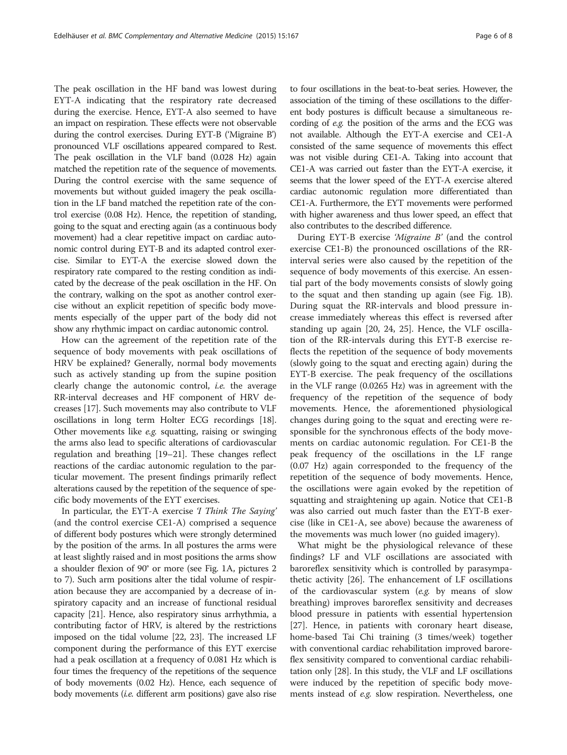The peak oscillation in the HF band was lowest during EYT-A indicating that the respiratory rate decreased during the exercise. Hence, EYT-A also seemed to have an impact on respiration. These effects were not observable during the control exercises. During EYT-B ('Migraine B') pronounced VLF oscillations appeared compared to Rest. The peak oscillation in the VLF band (0.028 Hz) again matched the repetition rate of the sequence of movements. During the control exercise with the same sequence of movements but without guided imagery the peak oscillation in the LF band matched the repetition rate of the control exercise (0.08 Hz). Hence, the repetition of standing, going to the squat and erecting again (as a continuous body movement) had a clear repetitive impact on cardiac autonomic control during EYT-B and its adapted control exercise. Similar to EYT-A the exercise slowed down the respiratory rate compared to the resting condition as indicated by the decrease of the peak oscillation in the HF. On the contrary, walking on the spot as another control exercise without an explicit repetition of specific body movements especially of the upper part of the body did not show any rhythmic impact on cardiac autonomic control.

How can the agreement of the repetition rate of the sequence of body movements with peak oscillations of HRV be explained? Generally, normal body movements such as actively standing up from the supine position clearly change the autonomic control, i.e. the average RR-interval decreases and HF component of HRV decreases [[17\]](#page-7-0). Such movements may also contribute to VLF oscillations in long term Holter ECG recordings [[18](#page-7-0)]. Other movements like e.g. squatting, raising or swinging the arms also lead to specific alterations of cardiovascular regulation and breathing [\[19](#page-7-0)–[21](#page-7-0)]. These changes reflect reactions of the cardiac autonomic regulation to the particular movement. The present findings primarily reflect alterations caused by the repetition of the sequence of specific body movements of the EYT exercises.

In particular, the EYT-A exercise 'I Think The Saying' (and the control exercise CE1-A) comprised a sequence of different body postures which were strongly determined by the position of the arms. In all postures the arms were at least slightly raised and in most positions the arms show a shoulder flexion of 90° or more (see Fig. [1A,](#page-2-0) pictures 2 to 7). Such arm positions alter the tidal volume of respiration because they are accompanied by a decrease of inspiratory capacity and an increase of functional residual capacity [[21](#page-7-0)]. Hence, also respiratory sinus arrhythmia, a contributing factor of HRV, is altered by the restrictions imposed on the tidal volume [[22](#page-7-0), [23](#page-7-0)]. The increased LF component during the performance of this EYT exercise had a peak oscillation at a frequency of 0.081 Hz which is four times the frequency of the repetitions of the sequence of body movements (0.02 Hz). Hence, each sequence of body movements *(i.e.* different arm positions) gave also rise to four oscillations in the beat-to-beat series. However, the association of the timing of these oscillations to the different body postures is difficult because a simultaneous recording of e.g. the position of the arms and the ECG was not available. Although the EYT-A exercise and CE1-A consisted of the same sequence of movements this effect was not visible during CE1-A. Taking into account that CE1-A was carried out faster than the EYT-A exercise, it seems that the lower speed of the EYT-A exercise altered cardiac autonomic regulation more differentiated than CE1-A. Furthermore, the EYT movements were performed with higher awareness and thus lower speed, an effect that also contributes to the described difference.

During EYT-B exercise 'Migraine B' (and the control exercise CE1-B) the pronounced oscillations of the RRinterval series were also caused by the repetition of the sequence of body movements of this exercise. An essential part of the body movements consists of slowly going to the squat and then standing up again (see Fig. [1B](#page-2-0)). During squat the RR-intervals and blood pressure increase immediately whereas this effect is reversed after standing up again [\[20](#page-7-0), [24](#page-7-0), [25](#page-7-0)]. Hence, the VLF oscillation of the RR-intervals during this EYT-B exercise reflects the repetition of the sequence of body movements (slowly going to the squat and erecting again) during the EYT-B exercise. The peak frequency of the oscillations in the VLF range (0.0265 Hz) was in agreement with the frequency of the repetition of the sequence of body movements. Hence, the aforementioned physiological changes during going to the squat and erecting were responsible for the synchronous effects of the body movements on cardiac autonomic regulation. For CE1-B the peak frequency of the oscillations in the LF range (0.07 Hz) again corresponded to the frequency of the repetition of the sequence of body movements. Hence, the oscillations were again evoked by the repetition of squatting and straightening up again. Notice that CE1-B was also carried out much faster than the EYT-B exercise (like in CE1-A, see above) because the awareness of the movements was much lower (no guided imagery).

What might be the physiological relevance of these findings? LF and VLF oscillations are associated with baroreflex sensitivity which is controlled by parasympathetic activity [\[26\]](#page-7-0). The enhancement of LF oscillations of the cardiovascular system (e.g. by means of slow breathing) improves baroreflex sensitivity and decreases blood pressure in patients with essential hypertension [[27\]](#page-7-0). Hence, in patients with coronary heart disease, home-based Tai Chi training (3 times/week) together with conventional cardiac rehabilitation improved baroreflex sensitivity compared to conventional cardiac rehabilitation only [\[28\]](#page-7-0). In this study, the VLF and LF oscillations were induced by the repetition of specific body movements instead of e.g. slow respiration. Nevertheless, one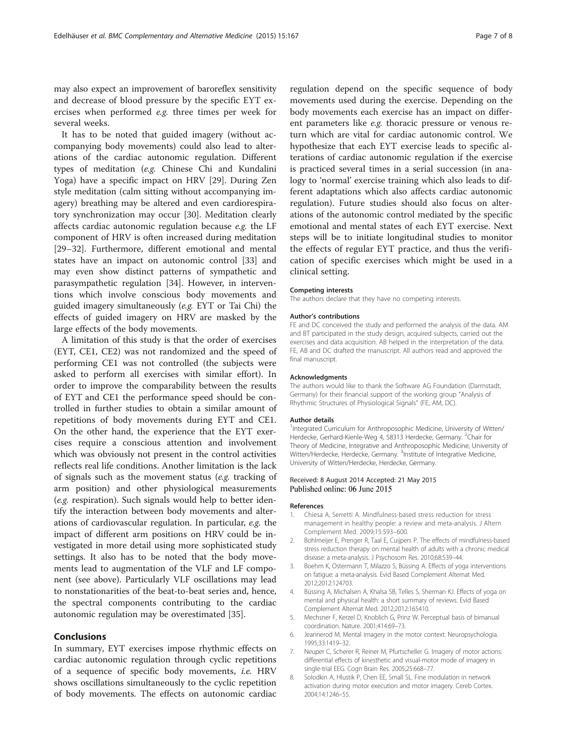<span id="page-6-0"></span>may also expect an improvement of baroreflex sensitivity and decrease of blood pressure by the specific EYT exercises when performed e.g. three times per week for several weeks.

It has to be noted that guided imagery (without accompanying body movements) could also lead to alterations of the cardiac autonomic regulation. Different types of meditation (e.g. Chinese Chi and Kundalini Yoga) have a specific impact on HRV [[29\]](#page-7-0). During Zen style meditation (calm sitting without accompanying imagery) breathing may be altered and even cardiorespiratory synchronization may occur [\[30](#page-7-0)]. Meditation clearly affects cardiac autonomic regulation because e.g. the LF component of HRV is often increased during meditation [[29](#page-7-0)–[32](#page-7-0)]. Furthermore, different emotional and mental states have an impact on autonomic control [\[33](#page-7-0)] and may even show distinct patterns of sympathetic and parasympathetic regulation [[34](#page-7-0)]. However, in interventions which involve conscious body movements and guided imagery simultaneously (e.g. EYT or Tai Chi) the effects of guided imagery on HRV are masked by the large effects of the body movements.

A limitation of this study is that the order of exercises (EYT, CE1, CE2) was not randomized and the speed of performing CE1 was not controlled (the subjects were asked to perform all exercises with similar effort). In order to improve the comparability between the results of EYT and CE1 the performance speed should be controlled in further studies to obtain a similar amount of repetitions of body movements during EYT and CE1. On the other hand, the experience that the EYT exercises require a conscious attention and involvement which was obviously not present in the control activities reflects real life conditions. Another limitation is the lack of signals such as the movement status (e.g. tracking of arm position) and other physiological measurements (e.g. respiration). Such signals would help to better identify the interaction between body movements and alterations of cardiovascular regulation. In particular, e.g. the impact of different arm positions on HRV could be investigated in more detail using more sophisticated study settings. It also has to be noted that the body movements lead to augmentation of the VLF and LF component (see above). Particularly VLF oscillations may lead to nonstationarities of the beat-to-beat series and, hence, the spectral components contributing to the cardiac autonomic regulation may be overestimated [[35\]](#page-7-0).

### Conclusions

In summary, EYT exercises impose rhythmic effects on cardiac autonomic regulation through cyclic repetitions of a sequence of specific body movements, i.e. HRV shows oscillations simultaneously to the cyclic repetition of body movements. The effects on autonomic cardiac regulation depend on the specific sequence of body movements used during the exercise. Depending on the body movements each exercise has an impact on different parameters like e.g. thoracic pressure or venous return which are vital for cardiac autonomic control. We hypothesize that each EYT exercise leads to specific alterations of cardiac autonomic regulation if the exercise is practiced several times in a serial succession (in analogy to 'normal' exercise training which also leads to different adaptations which also affects cardiac autonomic regulation). Future studies should also focus on alterations of the autonomic control mediated by the specific emotional and mental states of each EYT exercise. Next steps will be to initiate longitudinal studies to monitor the effects of regular EYT practice, and thus the verification of specific exercises which might be used in a clinical setting.

#### Competing interests

The authors declare that they have no competing interests.

#### Author's contributions

FE and DC conceived the study and performed the analysis of the data. AM and BT participated in the study design, acquired subjects, carried out the exercises and data acquisition. AB helped in the interpretation of the data. FE, AB and DC drafted the manuscript. All authors read and approved the final manuscript.

#### Acknowledgments

The authors would like to thank the Software AG Foundation (Darmstadt, Germany) for their financial support of the working group "Analysis of Rhythmic Structures of Physiological Signals" (FE, AM, DC).

#### Author details

<sup>1</sup>Integrated Curriculum for Anthroposophic Medicine, University of Witten/ Herdecke, Gerhard-Kienle-Weg 4, 58313 Herdecke, Germany. <sup>2</sup>Chair for Theory of Medicine, Integrative and Anthroposophic Medicine, University of Witten/Herdecke, Herdecke, Germany. <sup>3</sup>Institute of Integrative Medicine, University of Witten/Herdecke, Herdecke, Germany.

#### Received: 8 August 2014 Accepted: 21 May 2015 Published online: 06 June 2015

#### References

- 1. Chiesa A, Serretti A. Mindfulness-based stress reduction for stress management in healthy people: a review and meta-analysis. J Altern Complement Med. 2009;15:593–600.
- 2. Bohlmeijer E, Prenger R, Taal E, Cuijpers P. The effects of mindfulness-based stress reduction therapy on mental health of adults with a chronic medical disease: a meta-analysis. J Psychosom Res. 2010;68:539–44.
- 3. Boehm K, Ostermann T, Milazzo S, Büssing A. Effects of yoga interventions on fatigue: a meta-analysis. Evid Based Complement Alternat Med. 2012;2012:124703.
- 4. Büssing A, Michalsen A, Khalsa SB, Telles S, Sherman KJ. Effects of yoga on mental and physical health: a short summary of reviews. Evid Based Complement Alternat Med. 2012;2012:165410.
- 5. Mechsner F, Kerzel D, Knoblich G, Prinz W. Perceptual basis of bimanual coordination. Nature. 2001;414:69–73.
- 6. Jeannerod M. Mental imagery in the motor context. Neuropsychologia. 1995;33:1419–32.
- 7. Neuper C, Scherer R, Reiner M, Pfurtscheller G. Imagery of motor actions: differential effects of kinesthetic and visual-motor mode of imagery in single-trial EEG. Cogn Brain Res. 2005;25:668–77.
- 8. Solodkin A, Hlustik P, Chen EE, Small SL. Fine modulation in network activation during motor execution and motor imagery. Cereb Cortex. 2004;14:1246–55.